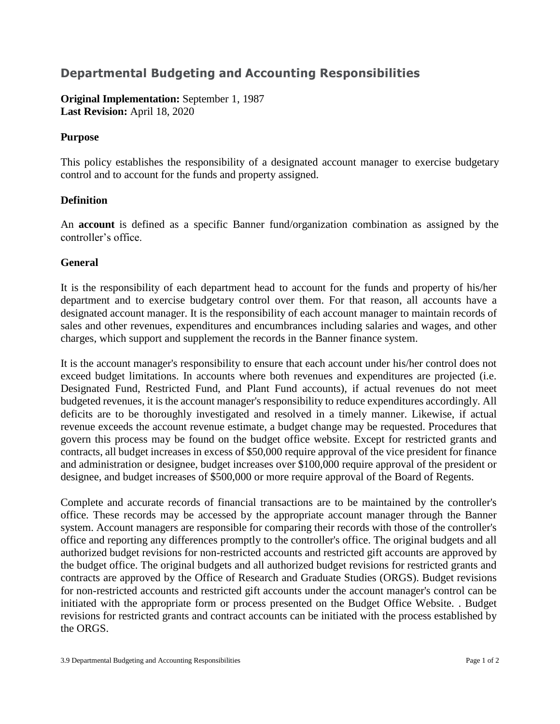## **Departmental Budgeting and Accounting Responsibilities**

**Original Implementation:** September 1, 1987 **Last Revision:** April 18, 2020

## **Purpose**

This policy establishes the responsibility of a designated account manager to exercise budgetary control and to account for the funds and property assigned.

## **Definition**

An **account** is defined as a specific Banner fund/organization combination as assigned by the controller's office.

## **General**

It is the responsibility of each department head to account for the funds and property of his/her department and to exercise budgetary control over them. For that reason, all accounts have a designated account manager. It is the responsibility of each account manager to maintain records of sales and other revenues, expenditures and encumbrances including salaries and wages, and other charges, which support and supplement the records in the Banner finance system.

It is the account manager's responsibility to ensure that each account under his/her control does not exceed budget limitations. In accounts where both revenues and expenditures are projected (i.e. Designated Fund, Restricted Fund, and Plant Fund accounts), if actual revenues do not meet budgeted revenues, it is the account manager's responsibility to reduce expenditures accordingly. All deficits are to be thoroughly investigated and resolved in a timely manner. Likewise, if actual revenue exceeds the account revenue estimate, a budget change may be requested. Procedures that govern this process may be found on the budget office website. Except for restricted grants and contracts, all budget increases in excess of \$50,000 require approval of the vice president for finance and administration or designee, budget increases over \$100,000 require approval of the president or designee, and budget increases of \$500,000 or more require approval of the Board of Regents.

Complete and accurate records of financial transactions are to be maintained by the controller's office. These records may be accessed by the appropriate account manager through the Banner system. Account managers are responsible for comparing their records with those of the controller's office and reporting any differences promptly to the controller's office. The original budgets and all authorized budget revisions for non-restricted accounts and restricted gift accounts are approved by the budget office. The original budgets and all authorized budget revisions for restricted grants and contracts are approved by the Office of Research and Graduate Studies (ORGS). Budget revisions for non-restricted accounts and restricted gift accounts under the account manager's control can be initiated with the appropriate form or process presented on the Budget Office Website. . Budget revisions for restricted grants and contract accounts can be initiated with the process established by the ORGS.